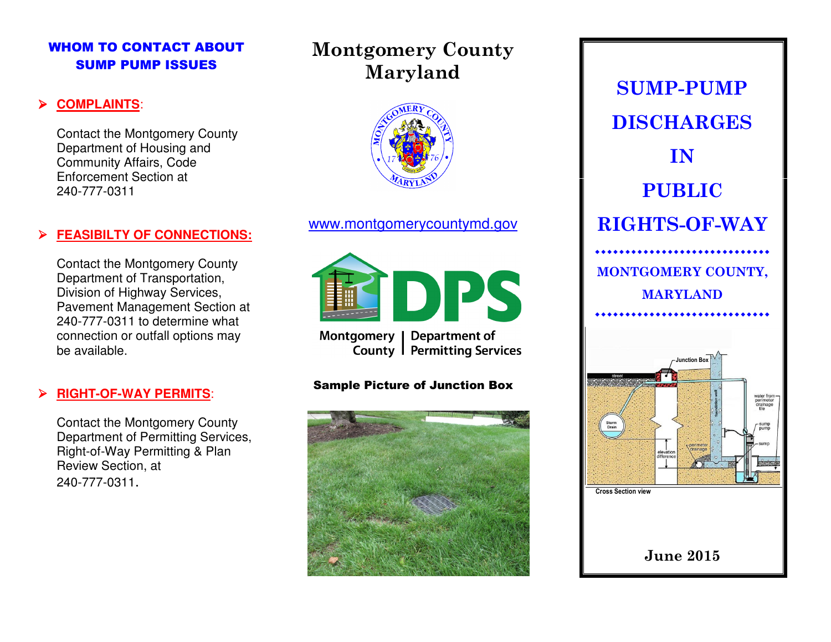## WHOM TO CONTACT ABOUT SUMP PUMP ISSUES

### ➤ **COMPLAINTS**:

Contact the Montgomery County Department of Housing and Community Affairs, Code Enforcement Section at 240-777-0311

### ➤ **FEASIBILTY OF CONNECTIONS:**

Contact the Montgomery County Department of Transportation, Division of Highway Services, Pavement Management Section at 240-777-0311 to determine what connection or outfall options may be available.

#### ▶ **RIGHT-OF-WAY PERMITS**:

Contact the Montgomery County Department of Permitting Services, Right-of-Way Permitting & Plan Review Section, at 240-777-0311.

# Montgomery County Maryland



## www.montgomerycountymd.gov



Montgomery Department of **Permitting Services** County |

### Sample Picture of Junction Box